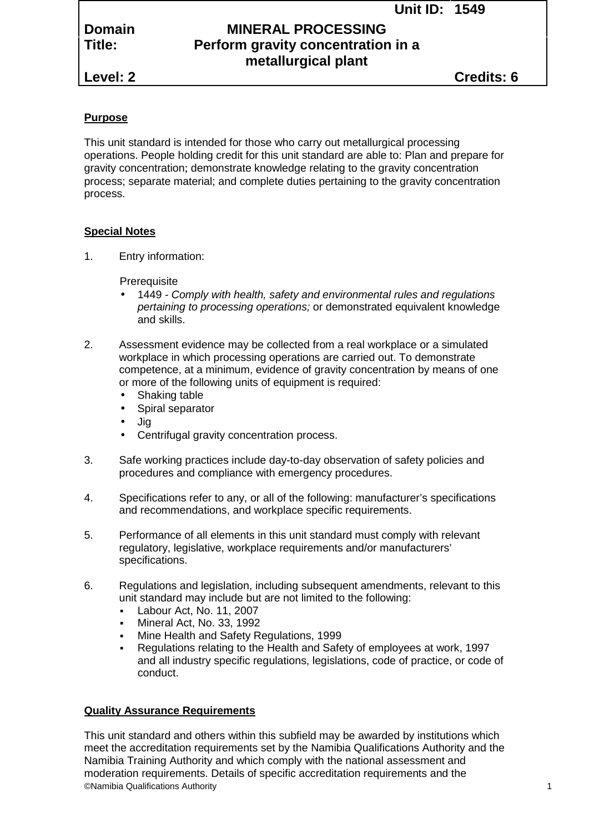**Unit ID: 1549**

# **Domain MINERAL PROCESSING Title: Perform gravity concentration in a metallurgical plant**

**Level: 2 Credits: 6**

## **Purpose**

This unit standard is intended for those who carry out metallurgical processing operations. People holding credit for this unit standard are able to: Plan and prepare for gravity concentration; demonstrate knowledge relating to the gravity concentration process; separate material; and complete duties pertaining to the gravity concentration process.

## **Special Notes**

1. Entry information:

**Prerequisite** 

- 1449 *- Comply with health, safety and environmental rules and regulations pertaining to processing operations;* or demonstrated equivalent knowledge and skills.
- 2. Assessment evidence may be collected from a real workplace or a simulated workplace in which processing operations are carried out. To demonstrate competence, at a minimum, evidence of gravity concentration by means of one or more of the following units of equipment is required:
	- Shaking table
	- Spiral separator
	- Jig
	- Centrifugal gravity concentration process.
- 3. Safe working practices include day-to-day observation of safety policies and procedures and compliance with emergency procedures.
- 4. Specifications refer to any, or all of the following: manufacturer's specifications and recommendations, and workplace specific requirements.
- 5. Performance of all elements in this unit standard must comply with relevant regulatory, legislative, workplace requirements and/or manufacturers' specifications.
- 6. Regulations and legislation, including subsequent amendments, relevant to this unit standard may include but are not limited to the following:
	- Labour Act, No. 11, 2007
	- Mineral Act, No. 33, 1992
	- Mine Health and Safety Regulations, 1999
	- Regulations relating to the Health and Safety of employees at work, 1997 and all industry specific regulations, legislations, code of practice, or code of conduct.

## **Quality Assurance Requirements**

©Namibia Qualifications Authority 1 This unit standard and others within this subfield may be awarded by institutions which meet the accreditation requirements set by the Namibia Qualifications Authority and the Namibia Training Authority and which comply with the national assessment and moderation requirements. Details of specific accreditation requirements and the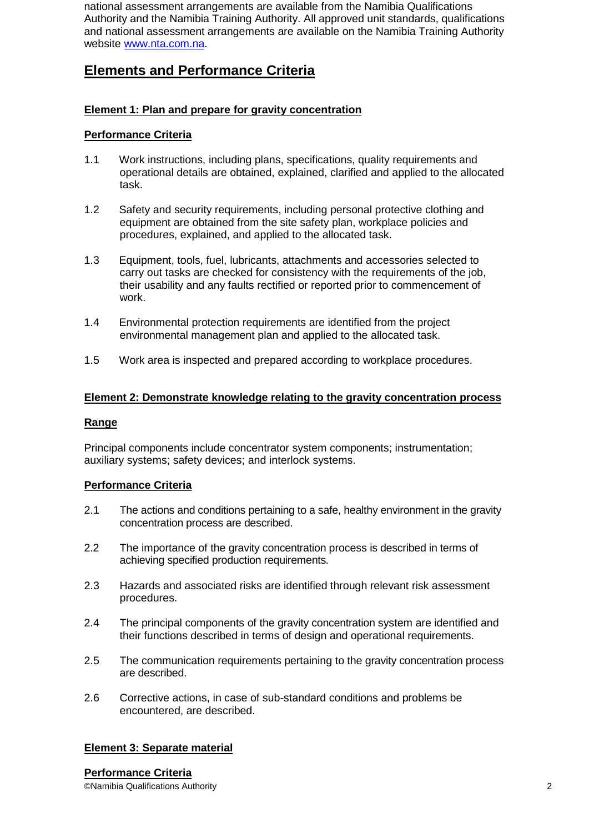national assessment arrangements are available from the Namibia Qualifications Authority and the Namibia Training Authority. All approved unit standards, qualifications and national assessment arrangements are available on the Namibia Training Authority website www.nta.com.na.

# **Elements and Performance Criteria**

## **Element 1: Plan and prepare for gravity concentration**

## **Performance Criteria**

- 1.1 Work instructions, including plans, specifications, quality requirements and operational details are obtained, explained, clarified and applied to the allocated task.
- 1.2 Safety and security requirements, including personal protective clothing and equipment are obtained from the site safety plan, workplace policies and procedures, explained, and applied to the allocated task.
- 1.3 Equipment, tools, fuel, lubricants, attachments and accessories selected to carry out tasks are checked for consistency with the requirements of the job, their usability and any faults rectified or reported prior to commencement of work.
- 1.4 Environmental protection requirements are identified from the project environmental management plan and applied to the allocated task.
- 1.5 Work area is inspected and prepared according to workplace procedures.

## **Element 2: Demonstrate knowledge relating to the gravity concentration process**

#### **Range**

Principal components include concentrator system components; instrumentation; auxiliary systems; safety devices; and interlock systems.

## **Performance Criteria**

- 2.1 The actions and conditions pertaining to a safe, healthy environment in the gravity concentration process are described.
- 2.2 The importance of the gravity concentration process is described in terms of achieving specified production requirements.
- 2.3 Hazards and associated risks are identified through relevant risk assessment procedures.
- 2.4 The principal components of the gravity concentration system are identified and their functions described in terms of design and operational requirements.
- 2.5 The communication requirements pertaining to the gravity concentration process are described.
- 2.6 Corrective actions, in case of sub-standard conditions and problems be encountered, are described.

## **Element 3: Separate material**